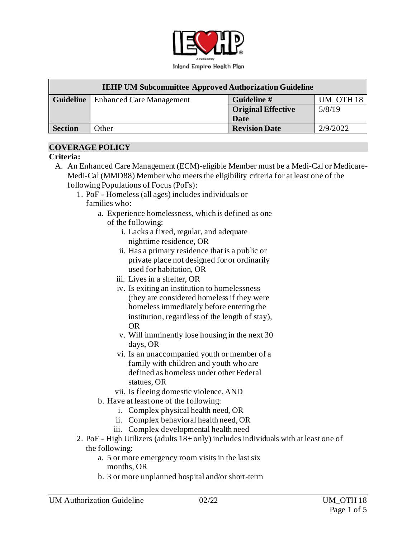

| <b>IEHP UM Subcommittee Approved Authorization Guideline</b> |                                 |                           |                      |
|--------------------------------------------------------------|---------------------------------|---------------------------|----------------------|
| <b>Guideline</b>                                             | <b>Enhanced Care Management</b> | Guideline #               | UM OTH <sub>18</sub> |
|                                                              |                                 | <b>Original Effective</b> | 5/8/19               |
|                                                              |                                 | Date                      |                      |
| <b>Section</b>                                               | Other                           | <b>Revision Date</b>      | 2/9/2022             |

### **COVERAGE POLICY**

### **Criteria:**

- A. An Enhanced Care Management (ECM)-eligible Member must be a Medi-Cal or Medicare-Medi-Cal (MMD88) Member who meets the eligibility criteria for at least one of the following Populations of Focus (PoFs):
	- 1. PoF Homeless (all ages) includes individuals or families who:
		- a. Experience homelessness, which is defined as one of the following:
			- i. Lacks a fixed, regular, and adequate nighttime residence, OR
			- ii. Has a primary residence that is a public or private place not designed for or ordinarily used for habitation, OR
			- iii. Lives in a shelter, OR
			- iv. Is exiting an institution to homelessness (they are considered homeless if they were homeless immediately before entering the institution, regardless of the length of stay), OR
			- v. Will imminently lose housing in the next 30 days, OR
			- vi. Is an unaccompanied youth or member of a family with children and youth who are defined as homeless under other Federal statues, OR
			- vii. Is fleeing domestic violence, AND
		- b. Have at least one of the following:
			- i. Complex physical health need, OR
			- ii. Complex behavioral health need, OR
			- iii. Complex developmental health need
	- 2. PoF High Utilizers (adults 18+ only) includes individuals with at least one of the following:
		- a. 5 or more emergency room visits in the last six months, OR
		- b. 3 or more unplanned hospital and/or short-term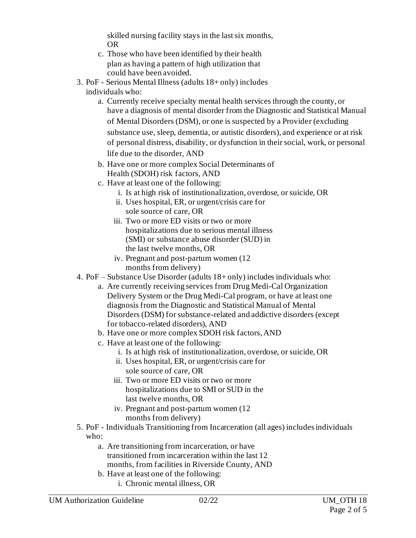skilled nursing facility stays in the last six months, OR

- c. Those who have been identified by their health plan as having a pattern of high utilization that could have been avoided.
- 3. PoF Serious Mental Illness (adults 18+ only) includes individuals who:
	- a. Currently receive specialty mental health services through the county, or have a diagnosis of mental disorder from the Diagnostic and Statistical Manual of Mental Disorders (DSM), or one is suspected by a Provider (excluding substance use, sleep, dementia, or autistic disorders), and experience or at risk of personal distress, disability, or dysfunction in their social, work, or personal life due to the disorder, AND
	- b. Have one or more complex Social Determinants of Health (SDOH) risk factors, AND
	- c. Have at least one of the following:
		- i. Is at high risk of institutionalization, overdose, or suicide, OR
		- ii. Uses hospital, ER, or urgent/crisis care for sole source of care, OR
		- iii. Two or more ED visits or two or more hospitalizations due to serious mental illness (SMI) or substance abuse disorder (SUD) in the last twelve months, OR
		- iv. Pregnant and post-partum women (12 months from delivery)
- 4. PoF Substance Use Disorder (adults 18+ only) includes individuals who:
	- a. Are currently receiving services from Drug Medi-Cal Organization Delivery System or the Drug Medi-Cal program, or have at least one diagnosis from the Diagnostic and Statistical Manual of Mental Disorders (DSM) for substance-related and addictive disorders (except for tobacco-related disorders), AND
	- b. Have one or more complex SDOH risk factors, AND
	- c. Have at least one of the following:
		- i. Is at high risk of institutionalization, overdose, or suicide, OR
		- ii. Uses hospital, ER, or urgent/crisis care for sole source of care, OR
		- iii. Two or more ED visits or two or more hospitalizations due to SMI or SUD in the last twelve months, OR
		- iv. Pregnant and post-partum women (12 months from delivery)
- 5. PoF Individuals Transitioning from Incarceration (all ages) includes individuals who:
	- a. Are transitioning from incarceration, or have transitioned from incarceration within the last 12 months, from facilities in Riverside County, AND
	- b. Have at least one of the following:
		- i. Chronic mental illness, OR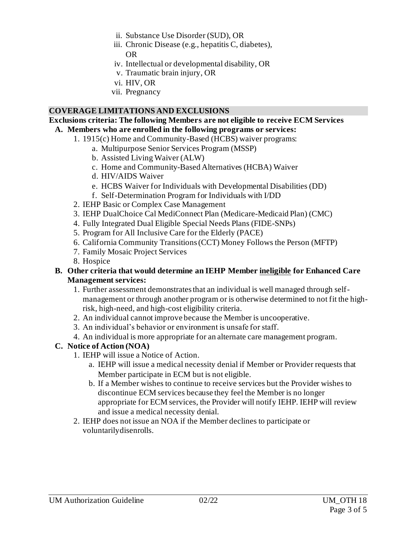- ii. Substance Use Disorder (SUD), OR
- iii. Chronic Disease (e.g., hepatitis C, diabetes), OR
- iv. Intellectual or developmental disability, OR
- v. Traumatic brain injury, OR
- vi. HIV, OR
- vii. Pregnancy

### **COVERAGE LIMITATIONS AND EXCLUSIONS**

#### **Exclusions criteria: The following Members are not eligible to receive ECM Services A. Members who are enrolled in the following programs or services:**

- 1. 1915(c) Home and Community-Based (HCBS) waiver programs:
	- a. Multipurpose Senior Services Program (MSSP)
	- b. Assisted Living Waiver (ALW)
	- c. Home and Community-Based Alternatives (HCBA) Waiver
	- d. HIV/AIDS Waiver
	- e. HCBS Waiver for Individuals with Developmental Disabilities (DD)
	- f. Self-Determination Program for Individuals with I/DD
- 2. IEHP Basic or Complex Case Management
- 3. IEHP DualChoice Cal MediConnect Plan (Medicare-Medicaid Plan) (CMC)
- 4. Fully Integrated Dual Eligible Special Needs Plans (FIDE-SNPs)
- 5. Program for All Inclusive Care for the Elderly (PACE)
- 6. California Community Transitions (CCT) Money Follows the Person (MFTP)
- 7. Family Mosaic Project Services
- 8. Hospice

### **B. Other criteria that would determine an IEHP Member ineligible for Enhanced Care Management services:**

- 1. Further assessment demonstrates that an individual is well managed through selfmanagement or through another program or is otherwise determined to not fit the highrisk, high-need, and high-cost eligibility criteria.
- 2. An individual cannot improve because the Member is uncooperative.
- 3. An individual's behavior or environment is unsafe for staff.
- 4. An individual is more appropriate for an alternate care management program.

# **C. Notice of Action (NOA)**

- 1. IEHP will issue a Notice of Action.
	- a. IEHP will issue a medical necessity denial if Member or Provider requests that Member participate in ECM but is not eligible.
	- b. If a Member wishes to continue to receive services but the Provider wishes to discontinue ECM services because they feel the Member is no longer appropriate for ECM services, the Provider will notify IEHP. IEHP will review and issue a medical necessity denial.
- 2. IEHP does not issue an NOA if the Member declines to participate or voluntarilydisenrolls.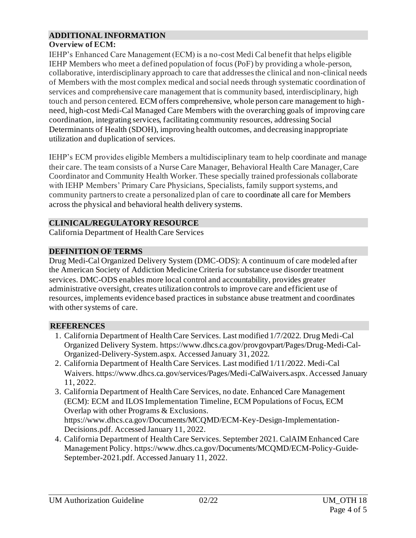# **ADDITIONAL INFORMATION**

# **Overview of ECM:**

IEHP's Enhanced Care Management (ECM) is a no-cost Medi Cal benefit that helps eligible IEHP Members who meet a defined population of focus (PoF) by providing a whole-person, collaborative, interdisciplinary approach to care that addresses the clinical and non-clinical needs of Members with the most complex medical and social needs through systematic coordination of services and comprehensive care management that is community based, interdisciplinary, high touch and person centered. ECM offers comprehensive, whole person care management to highneed, high-cost Medi-Cal Managed Care Members with the overarching goals of improving care coordination, integrating services, facilitating community resources, addressing Social Determinants of Health (SDOH), improving health outcomes, and decreasing inappropriate utilization and duplication of services.

IEHP's ECM provides eligible Members a multidisciplinary team to help coordinate and manage their care. The team consists of a Nurse Care Manager, Behavioral Health Care Manager, Care Coordinator and Community Health Worker. These specially trained professionals collaborate with IEHP Members' Primary Care Physicians, Specialists, family support systems, and community partners to create a personalized plan of care to coordinate all care for Members across the physical and behavioral health delivery systems.

# **CLINICAL/REGULATORY RESOURCE**

California Department of Health Care Services

### **DEFINITION OF TERMS**

Drug Medi-Cal Organized Delivery System (DMC-ODS): A continuum of care modeled after the American Society of Addiction Medicine Criteria for substance use disorder treatment services. DMC-ODS enables more local control and accountability, provides greater administrative oversight, creates utilization controls to improve care and efficient use of resources, implements evidence based practices in substance abuse treatment and coordinates with other systems of care.

# **REFERENCES**

- 1. California Department of Health Care Services. Last modified 1/7/2022. Drug Medi-Cal Organized Delivery System[. https://www.dhcs.ca.gov/provgovpart/Pages/Drug-Medi-Cal-](https://www.dhcs.ca.gov/provgovpart/Pages/Drug-Medi-Cal-Organized-Delivery-System.aspx)[Organized-Delivery-System.aspx](https://www.dhcs.ca.gov/provgovpart/Pages/Drug-Medi-Cal-Organized-Delivery-System.aspx). Accessed January 31, 2022.
- 2. California Department of Health Care Services. Last modified 1/11/2022. Medi-Cal Waivers[. https://www.dhcs.ca.gov/services/Pages/Medi-CalWaivers.aspx](https://www.dhcs.ca.gov/services/Pages/Medi-CalWaivers.aspx). Accessed January 11, 2022.
- 3. California Department of Health Care Services, no date. Enhanced Care Management (ECM): ECM and ILOS Implementation Timeline, ECM Populations of Focus, ECM Overlap with other Programs & Exclusions. [https://www.dhcs.ca.gov/Documents/MCQMD/ECM-Key-Design-Implementation-](https://www.dhcs.ca.gov/Documents/MCQMD/ECM-Key-Design-Implementation-Decisions.pdf)[Decisions.pdf](https://www.dhcs.ca.gov/Documents/MCQMD/ECM-Key-Design-Implementation-Decisions.pdf). Accessed January 11, 2022.
- 4. California Department of Health Care Services. September 2021. CalAIM Enhanced Care Management Policy[. https://www.dhcs.ca.gov/Documents/MCQMD/ECM-Policy-Guide-](https://www.dhcs.ca.gov/Documents/MCQMD/ECM-Policy-Guide-September-2021.pdf)[September-2021.pdf](https://www.dhcs.ca.gov/Documents/MCQMD/ECM-Policy-Guide-September-2021.pdf). Accessed January 11, 2022.